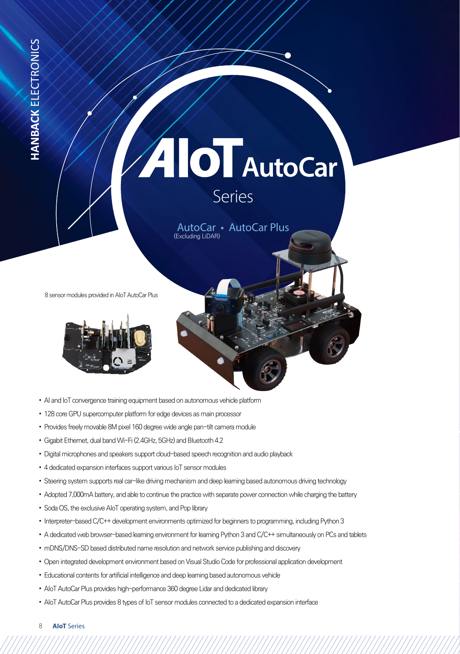# Series AIOT AutoCar

AutoCar • AutoCar Plus (Excluding LiDAR)

8 sensor modules provided in AIoT AutoCar Plus



- AI and IoT convergence training equipment based on autonomous vehicle platform
- 128 core GPU supercomputer platform for edge devices as main processor
- Provides freely movable 8M pixel 160 degree wide angle pan-tilt camera module
- Gigabit Ethernet, dual band Wi-Fi (2.4GHz, 5GHz) and Bluetooth 4.2
- Digital microphones and speakers support cloud-based speech recognition and audio playback
- 4 dedicated expansion interfaces support various IoT sensor modules
- Steering system supports real car-like driving mechanism and deep learning based autonomous driving technology
- Adopted 7,000mA battery, and able to continue the practice with separate power connection while charging the battery
- Soda OS, the exclusive AIoT operating system, and Pop library
- Interpreter-based C/C++ development environments optimized for beginners to programming, including Python 3
- A dedicated web browser-based learning environment for learning Python 3 and C/C++ simultaneously on PCs and tablets
- mDNS/DNS-SD based distributed name resolution and network service publishing and discovery
- Open integrated development environment based on Visual Studio Code for professional application development
- Educational contents for artificial intelligence and deep learning based autonomous vehicle
- AIoT AutoCar Plus provides high-performance 360 degree Lidar and dedicated library
- AIoT AutoCar Plus provides 8 types of IoT sensor modules connected to a dedicated expansion interface
- 8 **AIoT** Series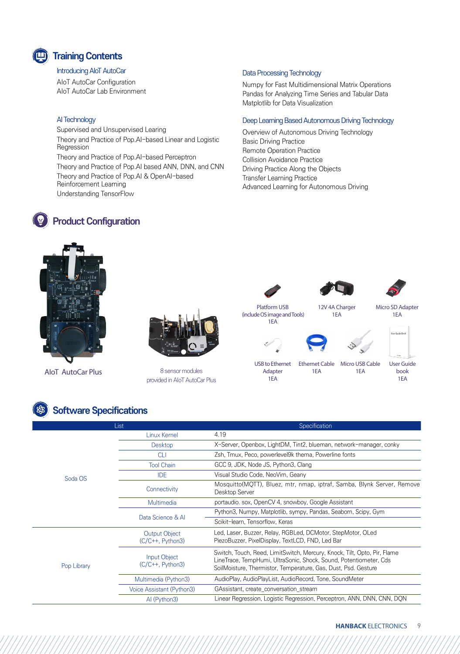## **Training Contents**

#### Introducing AIoT AutoCar

*<b>Product Configuration* 

AIoT AutoCar Configuration AIoT AutoCar Lab Environment

#### AI Technology

Supervised and Unsupervised Learing Theory and Practice of Pop.AI-based Linear and Logistic Regression Theory and Practice of Pop.AI-based Perceptron Theory and Practice of Pop.AI based ANN, DNN, and CNN Theory and Practice of Pop.AI & OpenAI-based Reinforcement Learning Understanding TensorFlow

#### Data Processing Technology

Numpy for Fast Multidimensional Matrix Operations Pandas for Analyzing Time Series and Tabular Data Matplotlib for Data Visualization

#### Deep Learning Based Autonomous Driving Technology

Overview of Autonomous Driving Technology Basic Driving Practice Remote Operation Practice Collision Avoidance Practice Driving Practice Along the Objects Transfer Learning Practice Advanced Learning for Autonomous Driving



**AloT** AutoCar Plus



8 sensor modules provided in AIoT AutoCar Plus

Platform USB (include OS image and Tools) 1EA

12V 4A Charger



Micro SD Adapter 1EA



USB to Ethernet Adapter

1EA





Ethernet Cable 1EA

1EA

User Guide book 1EA

### **Software Specifications**

| List        |                                            | Specification                                                                                                                                                                                                   |
|-------------|--------------------------------------------|-----------------------------------------------------------------------------------------------------------------------------------------------------------------------------------------------------------------|
| Soda OS     | Linux Kernel                               | 4.19                                                                                                                                                                                                            |
|             | Desktop                                    | X-Server, Openbox, LightDM, Tint2, blueman, network-manager, conky                                                                                                                                              |
|             | <b>CLI</b>                                 | Zsh, Tmux, Peco, powerlevel9k thema, Powerline fonts                                                                                                                                                            |
|             | <b>Tool Chain</b>                          | GCC 9, JDK, Node JS, Python3, Clang                                                                                                                                                                             |
|             | <b>IDE</b>                                 | Visual Studio Code, NeoVim, Geany                                                                                                                                                                               |
|             | Connectivity                               | Mosquitto (MQTT), Bluez, mtr, nmap, iptraf, Samba, Blynk Server, Remove<br>Desktop Server                                                                                                                       |
|             | Multimedia                                 | portaudio. sox, OpenCV 4, snowboy, Google Assistant                                                                                                                                                             |
|             | Data Science & Al                          | Python3, Numpy, Matplotlib, sympy, Pandas, Seaborn, Scipy, Gym                                                                                                                                                  |
|             |                                            | Scikit-learn, Tensorflow, Keras                                                                                                                                                                                 |
| Pop Library | <b>Output Object</b><br>$(C/C++, Python3)$ | Led, Laser, Buzzer, Relay, RGBLed, DCMotor, StepMotor, OLed<br>PiezoBuzzer, PixelDisplay, TextLCD, FND, Led Bar                                                                                                 |
|             | Input Object<br>$(C/C++, Python3)$         | Switch, Touch, Reed, LimitSwitch, Mercury, Knock, Tilt, Opto, Pir, Flame<br>LineTrace, TempHumi, UltraSonic, Shock, Sound, Potentiometer, Cds<br>SoilMoisture, Thermistor, Temperature, Gas, Dust, Psd. Gesture |
|             | Multimedia (Python3)                       | AudioPlay, AudioPlayList, AudioRecord, Tone, SoundMeter                                                                                                                                                         |
|             | Voice Assistant (Python3)                  | GAssistant, create_conversation_stream                                                                                                                                                                          |
|             | AI (Python3)                               | Linear Regression, Logistic Regression, Perceptron, ANN, DNN, CNN, DQN                                                                                                                                          |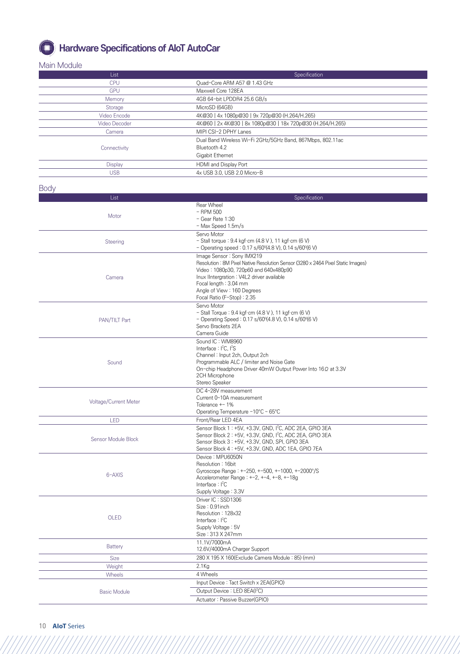

## *<b> Hardware Specifications of AIoT AutoCar*

#### Main Module

| List                  | Specification                                                                   |
|-----------------------|---------------------------------------------------------------------------------|
| <b>CPU</b>            | Quad-Core ARM A57 @ 1.43 GHz                                                    |
| <b>GPU</b>            | Maxwell Core 128EA                                                              |
|                       |                                                                                 |
| Memory                | 4GB 64-bit LPDDR4 25.6 GB/s                                                     |
| Storage               | MicroSD (64GB)                                                                  |
| Video Encode          | 4K@30   4x 1080p@30   9x 720p@30 (H.264/H.265)                                  |
| Video Decoder         | 4K@60   2x 4K@30   8x 1080p@30   18x 720p@30 (H.264/H.265)                      |
| Camera                | MIPI CSI-2 DPHY Lanes                                                           |
|                       |                                                                                 |
|                       | Dual Band Wireless Wi-Fi 2GHz/5GHz Band, 867Mbps, 802.11ac                      |
| Connectivity          | Bluetooth 4.2                                                                   |
|                       | Gigabit Ethernet                                                                |
| <b>Display</b>        | HDMI and Display Port                                                           |
| <b>USB</b>            | 4x USB 3.0, USB 2.0 Micro-B                                                     |
|                       |                                                                                 |
| <b>Body</b>           |                                                                                 |
|                       |                                                                                 |
| List                  | Specification                                                                   |
|                       | Rear Wheel                                                                      |
| Motor                 | $-$ RPM 500                                                                     |
|                       | - Gear Rate 1:30                                                                |
|                       | - Max Speed 1.5m/s                                                              |
|                       | Servo Motor                                                                     |
| Steering              | - Stall torque: 9.4 kgf·cm (4.8 V), 11 kgf·cm (6 V)                             |
|                       | - Operating speed: $0.17$ s/60 $(4.8$ V), $0.14$ s/60 $(6$ V)                   |
|                       | Image Sensor : Sony IMX219                                                      |
|                       | Resolution: 8M Pixel Native Resolution Sensor (3280 x 2464 Pixel Static Images) |
|                       | Video: 1080p30, 720p60 and 640x480p90                                           |
| Camera                | Inux IIntergration: V4L2 driver available                                       |
|                       | Focal length: 3.04 mm                                                           |
|                       | Angle of View: 160 Degrees                                                      |
|                       | Focal Ratio (F-Stop): 2.35                                                      |
|                       | Servo Motor                                                                     |
|                       | - Stall Torque: 9.4 kgf·cm (4.8 V), 11 kgf·cm (6 V)                             |
| PAN/TILT Part         | - Operating Speed: $0.17 s/60^{\circ}(4.8 V)$ , $0.14 s/60^{\circ}(6 V)$        |
|                       | Servo Brackets 2EA                                                              |
|                       | Camera Guide                                                                    |
|                       | Sound IC: WM8960                                                                |
|                       | Interface: $I^2C$ , $I^2S$                                                      |
|                       |                                                                                 |
|                       | Channel: Input 2ch, Output 2ch                                                  |
| Sound                 | Programmable ALC / limiter and Noise Gate                                       |
|                       | On-chip Headphone Driver 40mW Output Power Into 16Ω at 3.3V                     |
|                       | 2CH Microphone                                                                  |
|                       | Stereo Speaker                                                                  |
|                       | DC 4~28V measurement                                                            |
| Voltage/Current Meter | Current 0~10A measurement                                                       |
|                       | Tolerance +-1%                                                                  |
|                       | Operating Temperature −10°C ~ 65°C                                              |
| LED                   | Front/Rear LED 4EA                                                              |
|                       | Sensor Block 1: +5V, +3.3V, GND, I <sup>2</sup> C, ADC 2EA, GPIO 3EA            |
|                       | Sensor Block 2: +5V, +3.3V, GND, I <sup>2</sup> C, ADC 2EA, GPIO 3EA            |
| Sensor Module Block   | Sensor Block 3: +5V, +3.3V, GND, SPI, GPIO 3EA                                  |
|                       | Sensor Block 4: +5V, +3.3V, GND, ADC 1EA, GPIO 7EA                              |
|                       | Device: MPU6050N                                                                |
|                       | Resolution: 16bit                                                               |
|                       | Gyroscope Range: +-250, +-500, +-1000, +-2000°/S                                |
| 6-AXIS                | Accelerometer Range: $+-2$ , $+-4$ , $+-8$ , $+-18g$                            |
|                       | Interface: I <sup>2</sup> C                                                     |
|                       | Supply Voltage: 3.3V                                                            |
|                       | Driver IC: SSD1306                                                              |
|                       | Size: 0.91 inch                                                                 |
|                       | Resolution: 128x32                                                              |
| OLED                  | Interface: $I^2C$                                                               |
|                       | Supply Voltage: 5V                                                              |
|                       | Size: 313 X 247mm                                                               |
|                       | 11.1V/7000mA                                                                    |
| <b>Battery</b>        | 12.6V/4000mA Charger Support                                                    |
|                       |                                                                                 |
| Size                  | 280 X 195 X 160 (Exclude Camera Module: 85) (mm)                                |
| Weight                | $2.1$ Kg                                                                        |
| <b>Wheels</b>         | 4 Wheels                                                                        |
|                       | Input Device: Tact Switch x 2EA(GPIO)                                           |
| <b>Basic Module</b>   | Output Device: LED 8EA(I <sup>2</sup> C)                                        |
|                       |                                                                                 |
|                       | Actuator: Passive Buzzer(GPIO)                                                  |